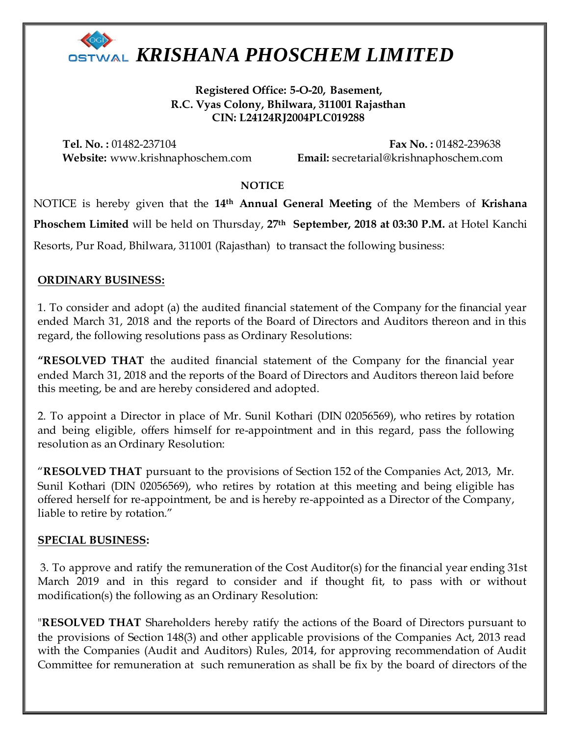

**Registered Office: 5-O-20, Basement, R.C. Vyas Colony, Bhilwara, 311001 Rajasthan CIN: L24124RJ2004PLC019288**

**Tel. No. :** 01482-237104 **Fax No. :** 01482-239638 **Website:** www.krishnaphoschem.com **Email:** secretarial@krishnaphoschem.com

#### **NOTICE**

NOTICE is hereby given that the **14th Annual General Meeting** of the Members of **Krishana Phoschem Limited** will be held on Thursday, **27th September, 2018 at 03:30 P.M.** at Hotel Kanchi Resorts, Pur Road, Bhilwara, 311001 (Rajasthan) to transact the following business:

### **ORDINARY BUSINESS:**

1. To consider and adopt (a) the audited financial statement of the Company for the financial year ended March 31, 2018 and the reports of the Board of Directors and Auditors thereon and in this regard, the following resolutions pass as Ordinary Resolutions:

**"RESOLVED THAT** the audited financial statement of the Company for the financial year ended March 31, 2018 and the reports of the Board of Directors and Auditors thereon laid before this meeting, be and are hereby considered and adopted.

2. To appoint a Director in place of Mr. Sunil Kothari (DIN 02056569), who retires by rotation and being eligible, offers himself for re-appointment and in this regard, pass the following resolution as an Ordinary Resolution:

"**RESOLVED THAT** pursuant to the provisions of Section 152 of the Companies Act, 2013, Mr. Sunil Kothari (DIN 02056569), who retires by rotation at this meeting and being eligible has offered herself for re-appointment, be and is hereby re-appointed as a Director of the Company, liable to retire by rotation."

#### **SPECIAL BUSINESS:**

3. To approve and ratify the remuneration of the Cost Auditor(s) for the financial year ending 31st March 2019 and in this regard to consider and if thought fit, to pass with or without modification(s) the following as an Ordinary Resolution:

"**RESOLVED THAT** Shareholders hereby ratify the actions of the Board of Directors pursuant to the provisions of Section 148(3) and other applicable provisions of the Companies Act, 2013 read with the Companies (Audit and Auditors) Rules, 2014, for approving recommendation of Audit Committee for remuneration at such remuneration as shall be fix by the board of directors of the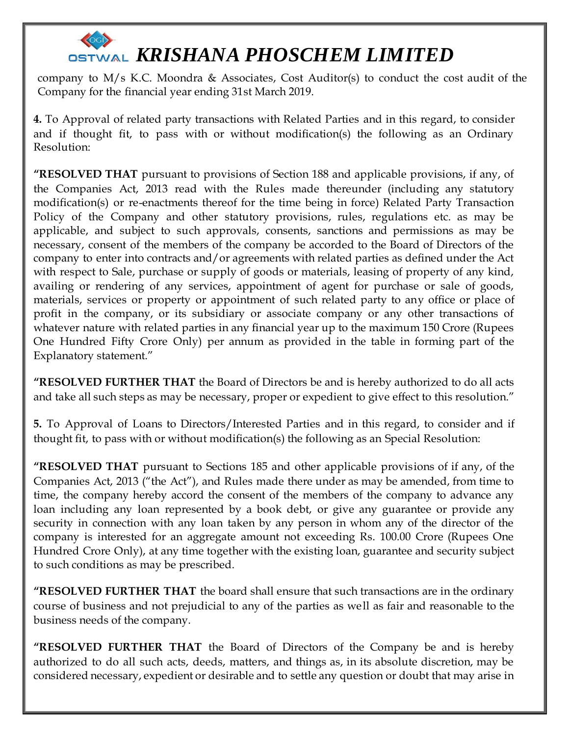company to M/s K.C. Moondra & Associates, Cost Auditor(s) to conduct the cost audit of the Company for the financial year ending 31st March 2019.

**4.** To Approval of related party transactions with Related Parties and in this regard, to consider and if thought fit, to pass with or without modification(s) the following as an Ordinary Resolution:

**"RESOLVED THAT** pursuant to provisions of Section 188 and applicable provisions, if any, of the Companies Act, 2013 read with the Rules made thereunder (including any statutory modification(s) or re-enactments thereof for the time being in force) Related Party Transaction Policy of the Company and other statutory provisions, rules, regulations etc. as may be applicable, and subject to such approvals, consents, sanctions and permissions as may be necessary, consent of the members of the company be accorded to the Board of Directors of the company to enter into contracts and/or agreements with related parties as defined under the Act with respect to Sale, purchase or supply of goods or materials, leasing of property of any kind, availing or rendering of any services, appointment of agent for purchase or sale of goods, materials, services or property or appointment of such related party to any office or place of profit in the company, or its subsidiary or associate company or any other transactions of whatever nature with related parties in any financial year up to the maximum 150 Crore (Rupees One Hundred Fifty Crore Only) per annum as provided in the table in forming part of the Explanatory statement."

**"RESOLVED FURTHER THAT** the Board of Directors be and is hereby authorized to do all acts and take all such steps as may be necessary, proper or expedient to give effect to this resolution."

**5.** To Approval of Loans to Directors/Interested Parties and in this regard, to consider and if thought fit, to pass with or without modification(s) the following as an Special Resolution:

**"RESOLVED THAT** pursuant to Sections 185 and other applicable provisions of if any, of the Companies Act, 2013 ("the Act"), and Rules made there under as may be amended, from time to time, the company hereby accord the consent of the members of the company to advance any loan including any loan represented by a book debt, or give any guarantee or provide any security in connection with any loan taken by any person in whom any of the director of the company is interested for an aggregate amount not exceeding Rs. 100.00 Crore (Rupees One Hundred Crore Only), at any time together with the existing loan, guarantee and security subject to such conditions as may be prescribed.

**"RESOLVED FURTHER THAT** the board shall ensure that such transactions are in the ordinary course of business and not prejudicial to any of the parties as well as fair and reasonable to the business needs of the company.

**"RESOLVED FURTHER THAT** the Board of Directors of the Company be and is hereby authorized to do all such acts, deeds, matters, and things as, in its absolute discretion, may be considered necessary, expedient or desirable and to settle any question or doubt that may arise in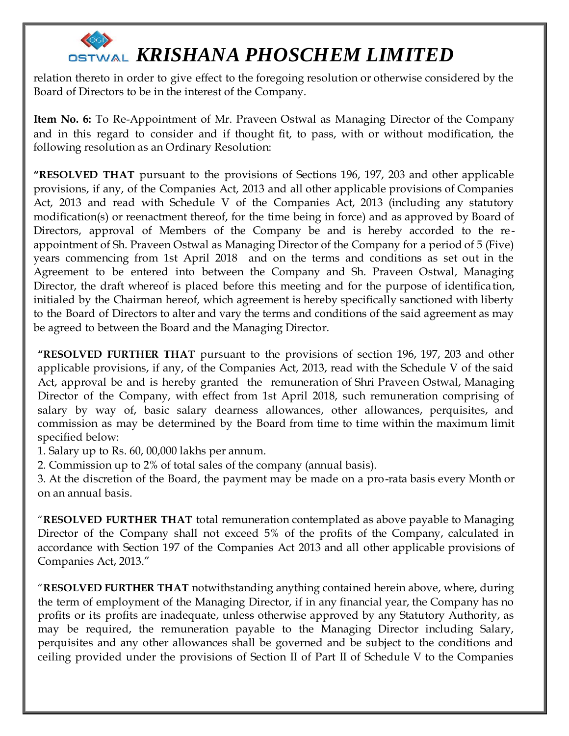relation thereto in order to give effect to the foregoing resolution or otherwise considered by the Board of Directors to be in the interest of the Company.

**Item No. 6:** To Re-Appointment of Mr. Praveen Ostwal as Managing Director of the Company and in this regard to consider and if thought fit, to pass, with or without modification, the following resolution as an Ordinary Resolution:

**"RESOLVED THAT** pursuant to the provisions of Sections 196, 197, 203 and other applicable provisions, if any, of the Companies Act, 2013 and all other applicable provisions of Companies Act, 2013 and read with Schedule V of the Companies Act, 2013 (including any statutory modification(s) or reenactment thereof, for the time being in force) and as approved by Board of Directors, approval of Members of the Company be and is hereby accorded to the reappointment of Sh. Praveen Ostwal as Managing Director of the Company for a period of 5 (Five) years commencing from 1st April 2018 and on the terms and conditions as set out in the Agreement to be entered into between the Company and Sh. Praveen Ostwal, Managing Director, the draft whereof is placed before this meeting and for the purpose of identification, initialed by the Chairman hereof, which agreement is hereby specifically sanctioned with liberty to the Board of Directors to alter and vary the terms and conditions of the said agreement as may be agreed to between the Board and the Managing Director.

**"RESOLVED FURTHER THAT** pursuant to the provisions of section 196, 197, 203 and other applicable provisions, if any, of the Companies Act, 2013, read with the Schedule V of the said Act, approval be and is hereby granted the remuneration of Shri Praveen Ostwal, Managing Director of the Company, with effect from 1st April 2018, such remuneration comprising of salary by way of, basic salary dearness allowances, other allowances, perquisites, and commission as may be determined by the Board from time to time within the maximum limit specified below:

1. Salary up to Rs. 60, 00,000 lakhs per annum.

2. Commission up to 2% of total sales of the company (annual basis).

3. At the discretion of the Board, the payment may be made on a pro-rata basis every Month or on an annual basis.

"**RESOLVED FURTHER THAT** total remuneration contemplated as above payable to Managing Director of the Company shall not exceed 5% of the profits of the Company, calculated in accordance with Section 197 of the Companies Act 2013 and all other applicable provisions of Companies Act, 2013."

"**RESOLVED FURTHER THAT** notwithstanding anything contained herein above, where, during the term of employment of the Managing Director, if in any financial year, the Company has no profits or its profits are inadequate, unless otherwise approved by any Statutory Authority, as may be required, the remuneration payable to the Managing Director including Salary, perquisites and any other allowances shall be governed and be subject to the conditions and ceiling provided under the provisions of Section II of Part II of Schedule V to the Companies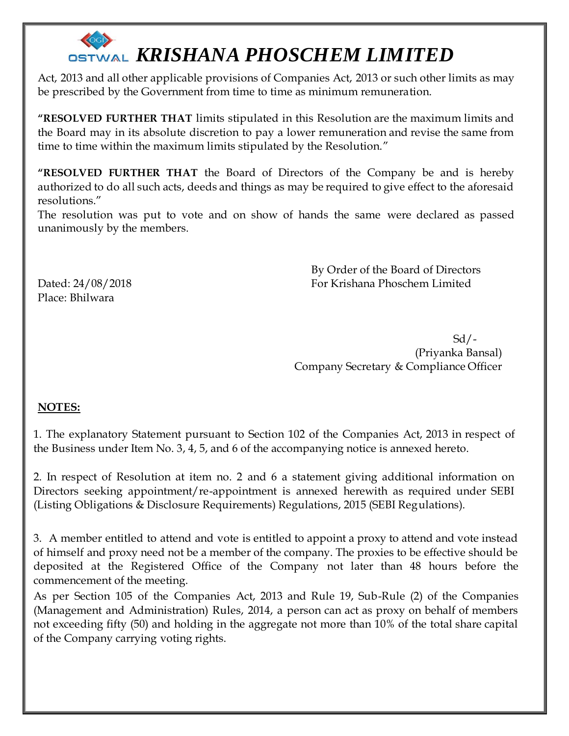Act, 2013 and all other applicable provisions of Companies Act, 2013 or such other limits as may be prescribed by the Government from time to time as minimum remuneration.

**"RESOLVED FURTHER THAT** limits stipulated in this Resolution are the maximum limits and the Board may in its absolute discretion to pay a lower remuneration and revise the same from time to time within the maximum limits stipulated by the Resolution."

**"RESOLVED FURTHER THAT** the Board of Directors of the Company be and is hereby authorized to do all such acts, deeds and things as may be required to give effect to the aforesaid resolutions."

The resolution was put to vote and on show of hands the same were declared as passed unanimously by the members.

 By Order of the Board of Directors Dated: 24/08/2018 For Krishana Phoschem Limited

Place: Bhilwara

 Sd/- (Priyanka Bansal) Company Secretary & Compliance Officer

### **NOTES:**

1. The explanatory Statement pursuant to Section 102 of the Companies Act, 2013 in respect of the Business under Item No. 3, 4, 5, and 6 of the accompanying notice is annexed hereto.

2. In respect of Resolution at item no. 2 and 6 a statement giving additional information on Directors seeking appointment/re-appointment is annexed herewith as required under SEBI (Listing Obligations & Disclosure Requirements) Regulations, 2015 (SEBI Regulations).

3. A member entitled to attend and vote is entitled to appoint a proxy to attend and vote instead of himself and proxy need not be a member of the company. The proxies to be effective should be deposited at the Registered Office of the Company not later than 48 hours before the commencement of the meeting.

As per Section 105 of the Companies Act, 2013 and Rule 19, Sub-Rule (2) of the Companies (Management and Administration) Rules, 2014, a person can act as proxy on behalf of members not exceeding fifty (50) and holding in the aggregate not more than 10% of the total share capital of the Company carrying voting rights.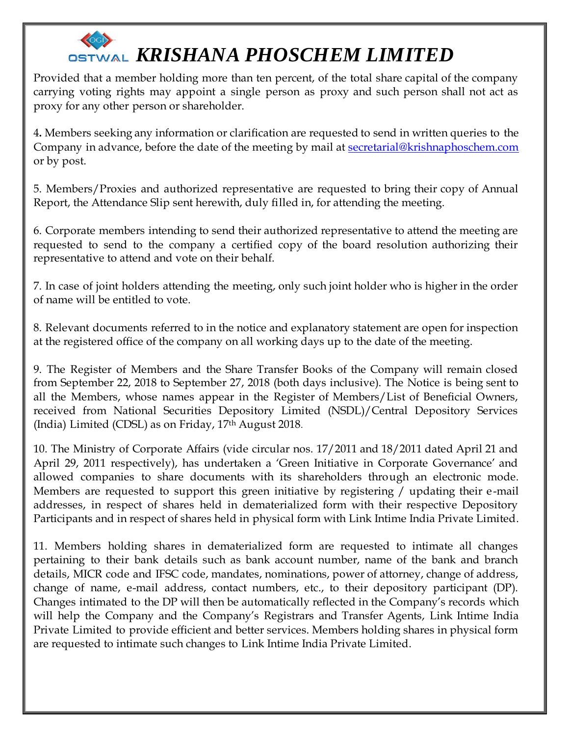Provided that a member holding more than ten percent, of the total share capital of the company carrying voting rights may appoint a single person as proxy and such person shall not act as proxy for any other person or shareholder.

4**.** Members seeking any information or clarification are requested to send in written queries to the Company in advance, before the date of the meeting by mail at **[secretarial@krishnaphoschem.com](mailto:secretarial@krishnaphoschem.com)** or by post.

5. Members/Proxies and authorized representative are requested to bring their copy of Annual Report, the Attendance Slip sent herewith, duly filled in, for attending the meeting.

6. Corporate members intending to send their authorized representative to attend the meeting are requested to send to the company a certified copy of the board resolution authorizing their representative to attend and vote on their behalf.

7. In case of joint holders attending the meeting, only such joint holder who is higher in the order of name will be entitled to vote.

8. Relevant documents referred to in the notice and explanatory statement are open for inspection at the registered office of the company on all working days up to the date of the meeting.

9. The Register of Members and the Share Transfer Books of the Company will remain closed from September 22, 2018 to September 27, 2018 (both days inclusive). The Notice is being sent to all the Members, whose names appear in the Register of Members/List of Beneficial Owners, received from National Securities Depository Limited (NSDL)/Central Depository Services (India) Limited (CDSL) as on Friday, 17 th August 2018.

10. The Ministry of Corporate Affairs (vide circular nos. 17/2011 and 18/2011 dated April 21 and April 29, 2011 respectively), has undertaken a 'Green Initiative in Corporate Governance' and allowed companies to share documents with its shareholders through an electronic mode. Members are requested to support this green initiative by registering / updating their e -mail addresses, in respect of shares held in dematerialized form with their respective Depository Participants and in respect of shares held in physical form with Link Intime India Private Limited.

11. Members holding shares in dematerialized form are requested to intimate all changes pertaining to their bank details such as bank account number, name of the bank and branch details, MICR code and IFSC code, mandates, nominations, power of attorney, change of address, change of name, e-mail address, contact numbers, etc., to their depository participant (DP). Changes intimated to the DP will then be automatically reflected in the Company's records which will help the Company and the Company's Registrars and Transfer Agents, Link Intime India Private Limited to provide efficient and better services. Members holding shares in physical form are requested to intimate such changes to Link Intime India Private Limited.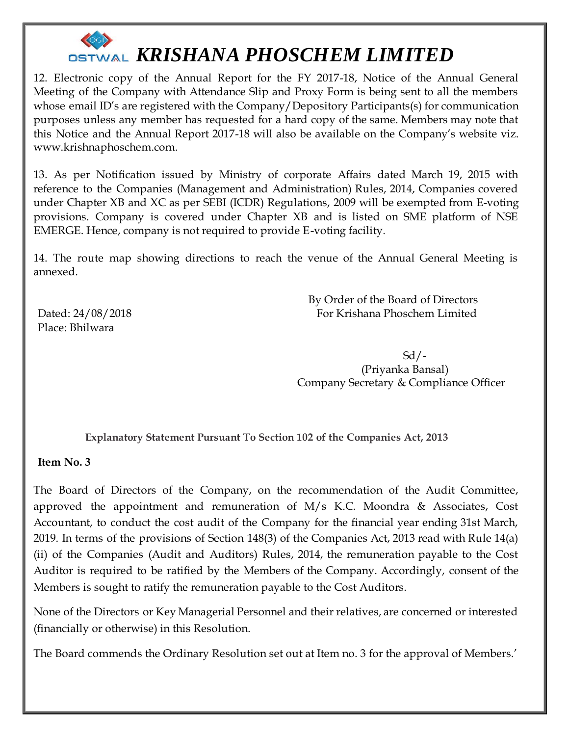

12. Electronic copy of the Annual Report for the FY 2017-18, Notice of the Annual General Meeting of the Company with Attendance Slip and Proxy Form is being sent to all the members whose email ID's are registered with the Company/Depository Participants(s) for communication purposes unless any member has requested for a hard copy of the same. Members may note that this Notice and the Annual Report 2017-18 will also be available on the Company's website viz. www.krishnaphoschem.com.

13. As per Notification issued by Ministry of corporate Affairs dated March 19, 2015 with reference to the Companies (Management and Administration) Rules, 2014, Companies covered under Chapter XB and XC as per SEBI (ICDR) Regulations, 2009 will be exempted from E-voting provisions. Company is covered under Chapter XB and is listed on SME platform of NSE EMERGE. Hence, company is not required to provide E-voting facility.

14. The route map showing directions to reach the venue of the Annual General Meeting is annexed.

Place: Bhilwara

 By Order of the Board of Directors Dated: 24/08/2018 For Krishana Phoschem Limited

 Sd/- (Priyanka Bansal) Company Secretary & Compliance Officer

**Explanatory Statement Pursuant To Section 102 of the Companies Act, 2013**

**Item No. 3**

The Board of Directors of the Company, on the recommendation of the Audit Committee, approved the appointment and remuneration of M/s K.C. Moondra & Associates, Cost Accountant, to conduct the cost audit of the Company for the financial year ending 31st March, 2019. In terms of the provisions of Section 148(3) of the Companies Act, 2013 read with Rule 14(a) (ii) of the Companies (Audit and Auditors) Rules, 2014, the remuneration payable to the Cost Auditor is required to be ratified by the Members of the Company. Accordingly, consent of the Members is sought to ratify the remuneration payable to the Cost Auditors.

None of the Directors or Key Managerial Personnel and their relatives, are concerned or interested (financially or otherwise) in this Resolution.

The Board commends the Ordinary Resolution set out at Item no. 3 for the approval of Members.'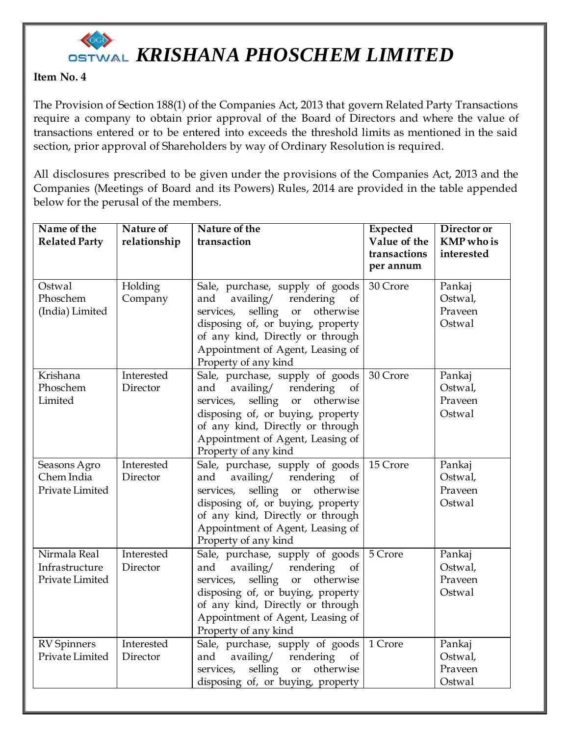

### **Item No. 4**

The Provision of Section 188(1) of the Companies Act, 2013 that govern Related Party Transactions require a company to obtain prior approval of the Board of Directors and where the value of transactions entered or to be entered into exceeds the threshold limits as mentioned in the said section, prior approval of Shareholders by way of Ordinary Resolution is required.

All disclosures prescribed to be given under the provisions of the Companies Act, 2013 and the Companies (Meetings of Board and its Powers) Rules, 2014 are provided in the table appended below for the perusal of the members.

| Name of the                                       | <b>Nature of</b>       | Nature of the                                                                                                                                                                                                                                                 | <b>Expected</b>              | Director or                            |
|---------------------------------------------------|------------------------|---------------------------------------------------------------------------------------------------------------------------------------------------------------------------------------------------------------------------------------------------------------|------------------------------|----------------------------------------|
| <b>Related Party</b>                              | relationship           | transaction                                                                                                                                                                                                                                                   | Value of the<br>transactions | <b>KMP</b> who is<br>interested        |
|                                                   |                        |                                                                                                                                                                                                                                                               | per annum                    |                                        |
| Ostwal<br>Phoschem<br>(India) Limited             | Holding<br>Company     | Sale, purchase, supply of goods<br>availing/<br>rendering<br>and<br>of<br>otherwise<br>services,<br>selling<br><b>or</b><br>disposing of, or buying, property<br>of any kind, Directly or through<br>Appointment of Agent, Leasing of<br>Property of any kind | 30 Crore                     | Pankaj<br>Ostwal,<br>Praveen<br>Ostwal |
| Krishana<br>Phoschem<br>Limited                   | Interested<br>Director | Sale, purchase, supply of goods<br>availing/<br>rendering<br>and<br>of<br>otherwise<br>selling<br>services,<br><b>or</b><br>disposing of, or buying, property<br>of any kind, Directly or through<br>Appointment of Agent, Leasing of<br>Property of any kind | 30 Crore                     | Pankaj<br>Ostwal,<br>Praveen<br>Ostwal |
| Seasons Agro<br>Chem India<br>Private Limited     | Interested<br>Director | Sale, purchase, supply of goods<br>availing/<br>rendering<br>and<br>of<br>selling<br>otherwise<br>services,<br>or<br>disposing of, or buying, property<br>of any kind, Directly or through<br>Appointment of Agent, Leasing of<br>Property of any kind        | 15 Crore                     | Pankaj<br>Ostwal,<br>Praveen<br>Ostwal |
| Nirmala Real<br>Infrastructure<br>Private Limited | Interested<br>Director | Sale, purchase, supply of goods<br>rendering<br>and<br>availing/<br><sub>of</sub><br>selling or otherwise<br>services,<br>disposing of, or buying, property<br>of any kind, Directly or through<br>Appointment of Agent, Leasing of<br>Property of any kind   | 5 Crore                      | Pankaj<br>Ostwal,<br>Praveen<br>Ostwal |
| <b>RV</b> Spinners<br>Private Limited             | Interested<br>Director | Sale, purchase, supply of goods<br>availing/<br>and<br>rendering<br>of<br>selling or<br>otherwise<br>services,<br>disposing of, or buying, property                                                                                                           | 1 Crore                      | Pankaj<br>Ostwal,<br>Praveen<br>Ostwal |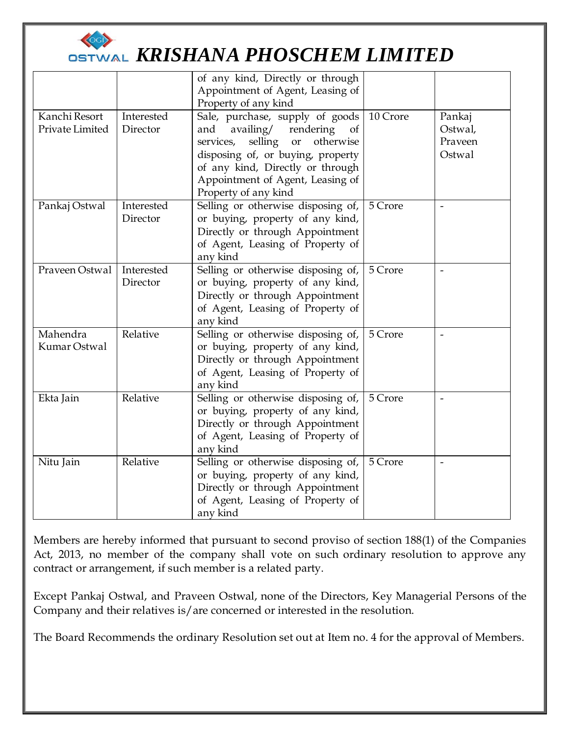

### **OSTWAL KRISHANA PHOSCHEM LIMITED**

| Kanchi Resort<br>Private Limited | Interested<br>Director | of any kind, Directly or through<br>Appointment of Agent, Leasing of<br>Property of any kind<br>Sale, purchase, supply of goods<br>availing/<br>rendering<br>and<br>of<br>services,<br>selling<br>otherwise<br><b>or</b><br>disposing of, or buying, property<br>of any kind, Directly or through<br>Appointment of Agent, Leasing of<br>Property of any kind | 10 Crore | Pankaj<br>Ostwal,<br>Prayeen<br>Ostwal |
|----------------------------------|------------------------|---------------------------------------------------------------------------------------------------------------------------------------------------------------------------------------------------------------------------------------------------------------------------------------------------------------------------------------------------------------|----------|----------------------------------------|
| Pankaj Ostwal                    | Interested<br>Director | Selling or otherwise disposing of,<br>or buying, property of any kind,<br>Directly or through Appointment<br>of Agent, Leasing of Property of<br>any kind                                                                                                                                                                                                     | 5 Crore  |                                        |
| Praveen Ostwal                   | Interested<br>Director | Selling or otherwise disposing of,<br>or buying, property of any kind,<br>Directly or through Appointment<br>of Agent, Leasing of Property of<br>any kind                                                                                                                                                                                                     | 5 Crore  |                                        |
| Mahendra<br>Kumar Ostwal         | Relative               | Selling or otherwise disposing of,<br>or buying, property of any kind,<br>Directly or through Appointment<br>of Agent, Leasing of Property of<br>any kind                                                                                                                                                                                                     | 5 Crore  | $\overline{\phantom{a}}$               |
| Ekta Jain                        | Relative               | Selling or otherwise disposing of,<br>or buying, property of any kind,<br>Directly or through Appointment<br>of Agent, Leasing of Property of<br>any kind                                                                                                                                                                                                     | 5 Crore  |                                        |
| Nitu Jain                        | Relative               | Selling or otherwise disposing of,<br>or buying, property of any kind,<br>Directly or through Appointment<br>of Agent, Leasing of Property of<br>any kind                                                                                                                                                                                                     | 5 Crore  | $\overline{\phantom{a}}$               |

Members are hereby informed that pursuant to second proviso of section 188(1) of the Companies Act, 2013, no member of the company shall vote on such ordinary resolution to approve any contract or arrangement, if such member is a related party.

Except Pankaj Ostwal, and Praveen Ostwal, none of the Directors, Key Managerial Persons of the Company and their relatives is/are concerned or interested in the resolution.

The Board Recommends the ordinary Resolution set out at Item no. 4 for the approval of Members.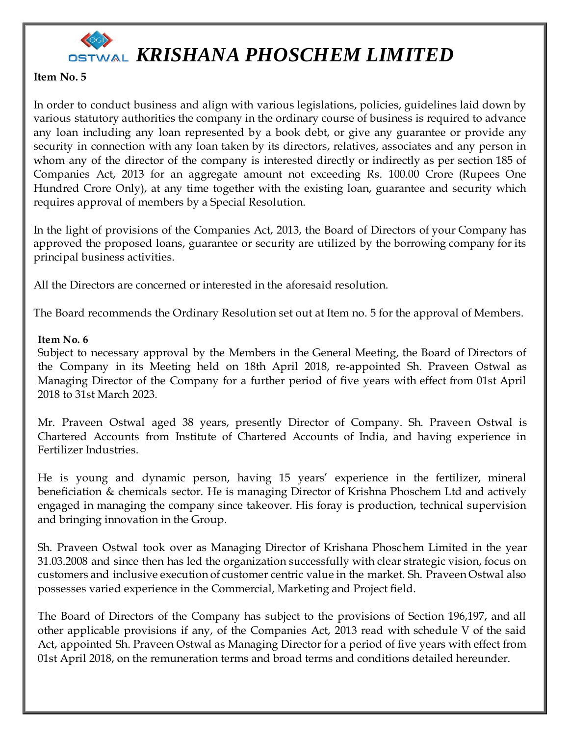

#### **Item No. 5**

In order to conduct business and align with various legislations, policies, guidelines laid down by various statutory authorities the company in the ordinary course of business is required to advance any loan including any loan represented by a book debt, or give any guarantee or provide any security in connection with any loan taken by its directors, relatives, associates and any person in whom any of the director of the company is interested directly or indirectly as per section 185 of Companies Act, 2013 for an aggregate amount not exceeding Rs. 100.00 Crore (Rupees One Hundred Crore Only), at any time together with the existing loan, guarantee and security which requires approval of members by a Special Resolution.

In the light of provisions of the Companies Act, 2013, the Board of Directors of your Company has approved the proposed loans, guarantee or security are utilized by the borrowing company for its principal business activities.

All the Directors are concerned or interested in the aforesaid resolution.

The Board recommends the Ordinary Resolution set out at Item no. 5 for the approval of Members.

#### **Item No. 6**

Subject to necessary approval by the Members in the General Meeting, the Board of Directors of the Company in its Meeting held on 18th April 2018, re-appointed Sh. Praveen Ostwal as Managing Director of the Company for a further period of five years with effect from 01st April 2018 to 31st March 2023.

Mr. Praveen Ostwal aged 38 years, presently Director of Company. Sh. Praveen Ostwal is Chartered Accounts from Institute of Chartered Accounts of India, and having experience in Fertilizer Industries.

He is young and dynamic person, having 15 years' experience in the fertilizer, mineral beneficiation & chemicals sector. He is managing Director of Krishna Phoschem Ltd and actively engaged in managing the company since takeover. His foray is production, technical supervision and bringing innovation in the Group.

Sh. Praveen Ostwal took over as Managing Director of Krishana Phoschem Limited in the year 31.03.2008 and since then has led the organization successfully with clear strategic vision, focus on customers and inclusive execution of customer centric value in the market. Sh. Praveen Ostwal also possesses varied experience in the Commercial, Marketing and Project field.

The Board of Directors of the Company has subject to the provisions of Section 196,197, and all other applicable provisions if any, of the Companies Act, 2013 read with schedule V of the said Act, appointed Sh. Praveen Ostwal as Managing Director for a period of five years with effect from 01st April 2018, on the remuneration terms and broad terms and conditions detailed hereunder.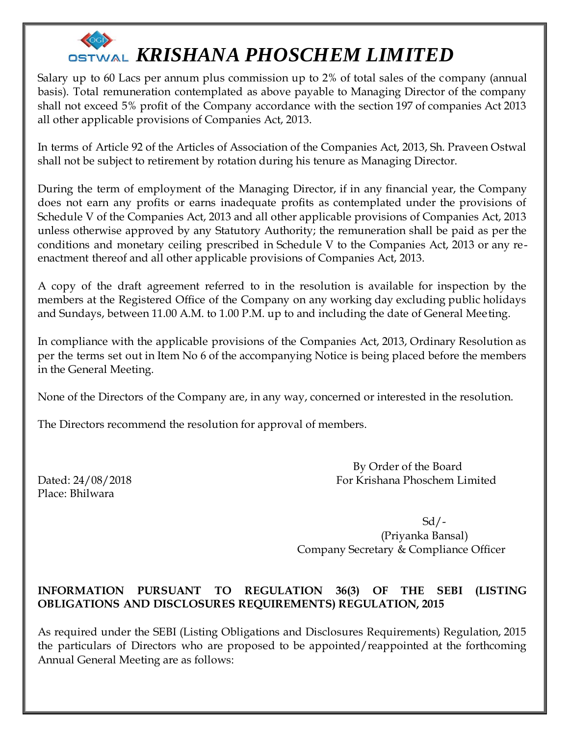Salary up to 60 Lacs per annum plus commission up to 2% of total sales of the company (annual basis). Total remuneration contemplated as above payable to Managing Director of the company shall not exceed 5% profit of the Company accordance with the section 197 of companies Act 2013 all other applicable provisions of Companies Act, 2013.

In terms of Article 92 of the Articles of Association of the Companies Act, 2013, Sh. Praveen Ostwal shall not be subject to retirement by rotation during his tenure as Managing Director.

During the term of employment of the Managing Director, if in any financial year, the Company does not earn any profits or earns inadequate profits as contemplated under the provisions of Schedule V of the Companies Act, 2013 and all other applicable provisions of Companies Act, 2013 unless otherwise approved by any Statutory Authority; the remuneration shall be paid as per the conditions and monetary ceiling prescribed in Schedule V to the Companies Act, 2013 or any reenactment thereof and all other applicable provisions of Companies Act, 2013.

A copy of the draft agreement referred to in the resolution is available for inspection by the members at the Registered Office of the Company on any working day excluding public holidays and Sundays, between 11.00 A.M. to 1.00 P.M. up to and including the date of General Meeting.

In compliance with the applicable provisions of the Companies Act, 2013, Ordinary Resolution as per the terms set out in Item No 6 of the accompanying Notice is being placed before the members in the General Meeting.

None of the Directors of the Company are, in any way, concerned or interested in the resolution.

The Directors recommend the resolution for approval of members.

 By Order of the Board Dated: 24/08/2018 For Krishana Phoschem Limited

Place: Bhilwara

 $Sd/$ - (Priyanka Bansal) Company Secretary & Compliance Officer

### **INFORMATION PURSUANT TO REGULATION 36(3) OF THE SEBI (LISTING OBLIGATIONS AND DISCLOSURES REQUIREMENTS) REGULATION, 2015**

As required under the SEBI (Listing Obligations and Disclosures Requirements) Regulation, 2015 the particulars of Directors who are proposed to be appointed/reappointed at the forthcoming Annual General Meeting are as follows: